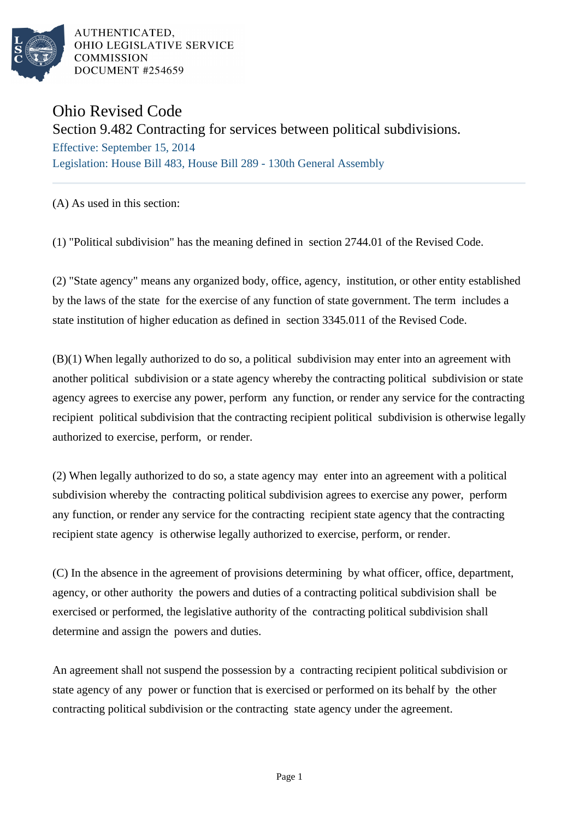

AUTHENTICATED. OHIO LEGISLATIVE SERVICE **COMMISSION** DOCUMENT #254659

## Ohio Revised Code

Section 9.482 Contracting for services between political subdivisions.

Effective: September 15, 2014 Legislation: House Bill 483, House Bill 289 - 130th General Assembly

## (A) As used in this section:

(1) "Political subdivision" has the meaning defined in section 2744.01 of the Revised Code.

(2) "State agency" means any organized body, office, agency, institution, or other entity established by the laws of the state for the exercise of any function of state government. The term includes a state institution of higher education as defined in section 3345.011 of the Revised Code.

(B)(1) When legally authorized to do so, a political subdivision may enter into an agreement with another political subdivision or a state agency whereby the contracting political subdivision or state agency agrees to exercise any power, perform any function, or render any service for the contracting recipient political subdivision that the contracting recipient political subdivision is otherwise legally authorized to exercise, perform, or render.

(2) When legally authorized to do so, a state agency may enter into an agreement with a political subdivision whereby the contracting political subdivision agrees to exercise any power, perform any function, or render any service for the contracting recipient state agency that the contracting recipient state agency is otherwise legally authorized to exercise, perform, or render.

(C) In the absence in the agreement of provisions determining by what officer, office, department, agency, or other authority the powers and duties of a contracting political subdivision shall be exercised or performed, the legislative authority of the contracting political subdivision shall determine and assign the powers and duties.

An agreement shall not suspend the possession by a contracting recipient political subdivision or state agency of any power or function that is exercised or performed on its behalf by the other contracting political subdivision or the contracting state agency under the agreement.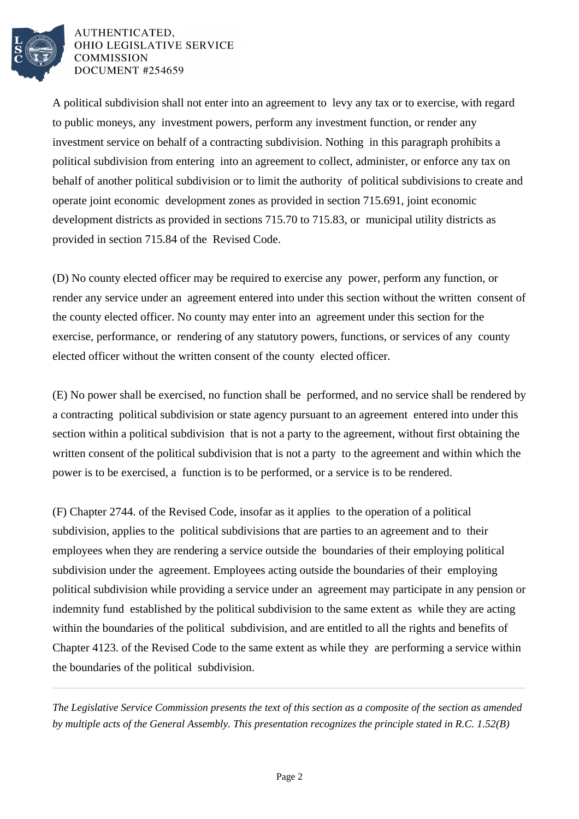

AUTHENTICATED. OHIO LEGISLATIVE SERVICE **COMMISSION** DOCUMENT #254659

A political subdivision shall not enter into an agreement to levy any tax or to exercise, with regard to public moneys, any investment powers, perform any investment function, or render any investment service on behalf of a contracting subdivision. Nothing in this paragraph prohibits a political subdivision from entering into an agreement to collect, administer, or enforce any tax on behalf of another political subdivision or to limit the authority of political subdivisions to create and operate joint economic development zones as provided in section 715.691, joint economic development districts as provided in sections 715.70 to 715.83, or municipal utility districts as provided in section 715.84 of the Revised Code.

(D) No county elected officer may be required to exercise any power, perform any function, or render any service under an agreement entered into under this section without the written consent of the county elected officer. No county may enter into an agreement under this section for the exercise, performance, or rendering of any statutory powers, functions, or services of any county elected officer without the written consent of the county elected officer.

(E) No power shall be exercised, no function shall be performed, and no service shall be rendered by a contracting political subdivision or state agency pursuant to an agreement entered into under this section within a political subdivision that is not a party to the agreement, without first obtaining the written consent of the political subdivision that is not a party to the agreement and within which the power is to be exercised, a function is to be performed, or a service is to be rendered.

(F) Chapter 2744. of the Revised Code, insofar as it applies to the operation of a political subdivision, applies to the political subdivisions that are parties to an agreement and to their employees when they are rendering a service outside the boundaries of their employing political subdivision under the agreement. Employees acting outside the boundaries of their employing political subdivision while providing a service under an agreement may participate in any pension or indemnity fund established by the political subdivision to the same extent as while they are acting within the boundaries of the political subdivision, and are entitled to all the rights and benefits of Chapter 4123. of the Revised Code to the same extent as while they are performing a service within the boundaries of the political subdivision.

*The Legislative Service Commission presents the text of this section as a composite of the section as amended by multiple acts of the General Assembly. This presentation recognizes the principle stated in R.C. 1.52(B)*